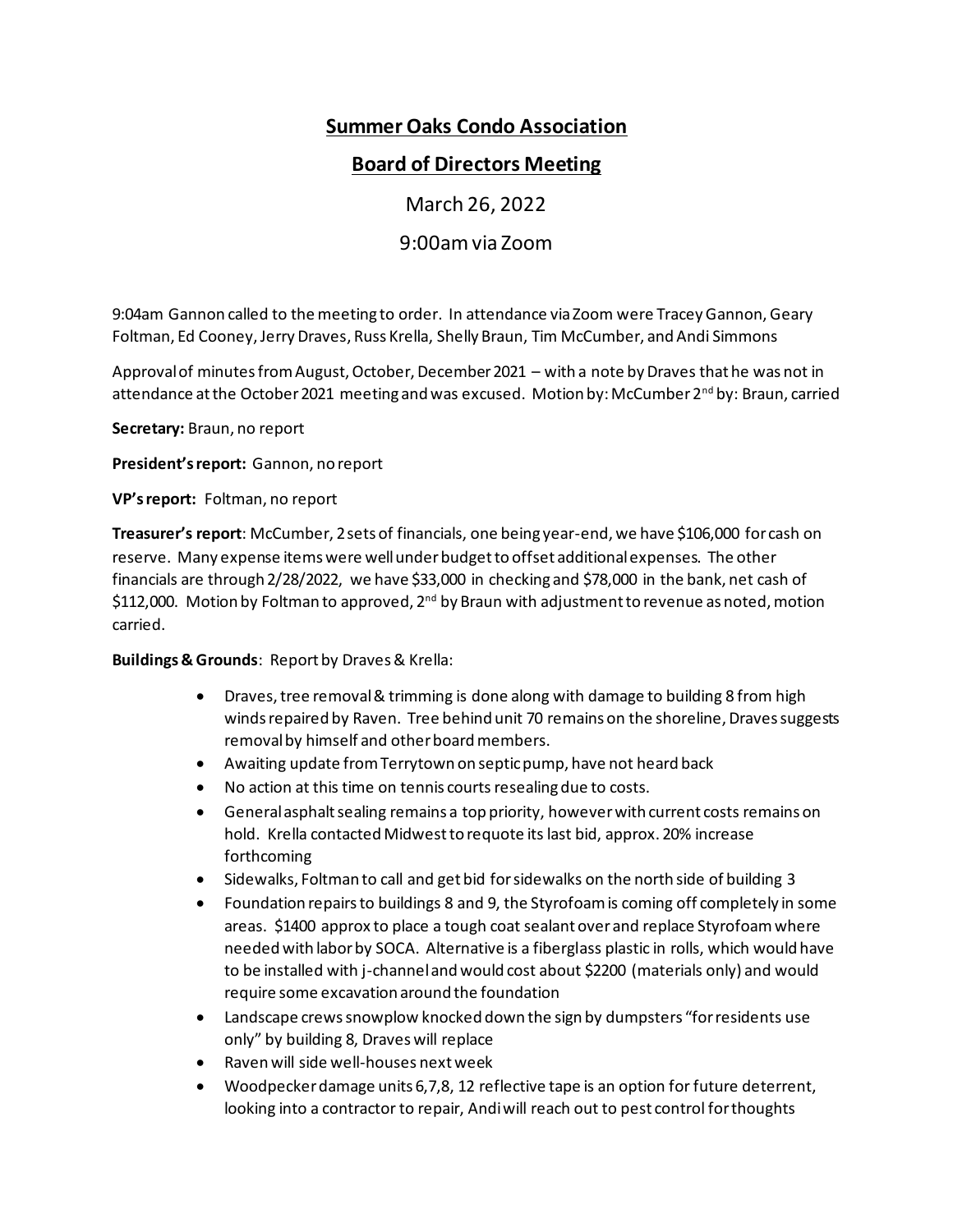# **Summer Oaks Condo Association**

# **Board of Directors Meeting**

March 26, 2022

9:00am via Zoom

9:04am Gannon called to the meeting to order. In attendance via Zoom were Tracey Gannon, Geary Foltman, Ed Cooney, Jerry Draves, Russ Krella, Shelly Braun, Tim McCumber, and Andi Simmons

Approval of minutes from August, October, December 2021 – with a note by Draves that he was not in attendance at the October 2021 meeting and was excused. Motion by: McCumber 2<sup>nd</sup> by: Braun, carried

**Secretary:** Braun, no report

**President's report:** Gannon, no report

**VP's report:** Foltman, no report

**Treasurer's report**: McCumber, 2 sets of financials, one being year-end, we have \$106,000 for cash on reserve. Many expense items were well under budget to offset additional expenses. The other financials are through 2/28/2022, we have \$33,000 in checking and \$78,000 in the bank, net cash of \$112,000. Motion by Foltman to approved,  $2^{nd}$  by Braun with adjustment to revenue as noted, motion carried.

**Buildings & Grounds**: Report by Draves & Krella:

- Draves, tree removal & trimming is done along with damage to building 8 from high winds repaired by Raven. Tree behind unit 70 remains on the shoreline, Draves suggests removal by himself and other board members.
- Awaiting update from Terrytown on septic pump, have not heard back
- No action at this time on tennis courts resealing due to costs.
- General asphalt sealing remains a top priority, however with current costs remains on hold. Krella contacted Midwest to requote its last bid, approx. 20% increase forthcoming
- Sidewalks, Foltman to call and get bid for sidewalks on the north side of building 3
- Foundation repairs to buildings 8 and 9, the Styrofoam is coming off completely in some areas. \$1400 approx to place a tough coat sealant over and replace Styrofoam where needed with labor by SOCA. Alternative is a fiberglass plastic in rolls, which would have to be installed with j-channel and would cost about \$2200 (materials only) and would require some excavation around the foundation
- Landscape crews snowplow knocked down the sign by dumpsters "for residents use only" by building 8, Draves will replace
- Raven will side well-houses next week
- Woodpecker damage units 6,7,8, 12 reflective tape is an option for future deterrent, looking into a contractor to repair, Andi will reach out to pest control for thoughts